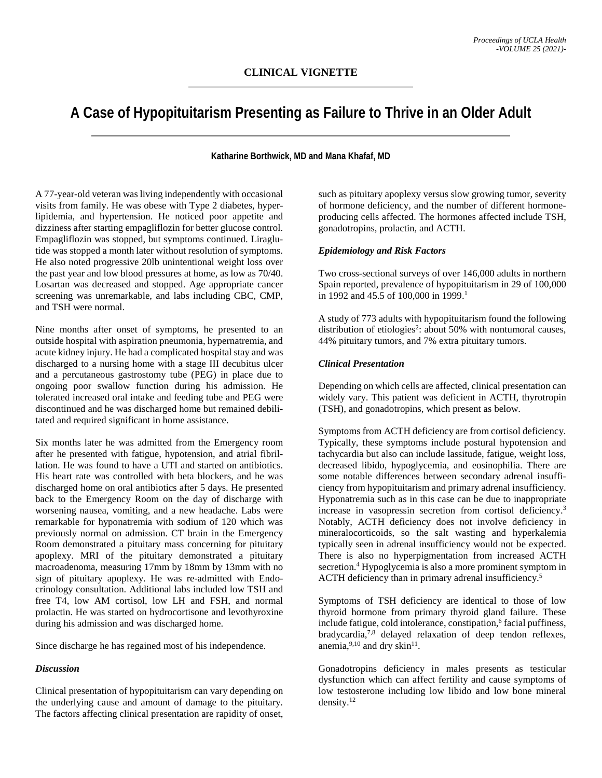# **A Case of Hypopituitarism Presenting as Failure to Thrive in an Older Adult**

## **Katharine Borthwick, MD and Mana Khafaf, MD**

A 77-year-old veteran was living independently with occasional visits from family. He was obese with Type 2 diabetes, hyperlipidemia, and hypertension. He noticed poor appetite and dizziness after starting empagliflozin for better glucose control. Empagliflozin was stopped, but symptoms continued. Liraglutide was stopped a month later without resolution of symptoms. He also noted progressive 20lb unintentional weight loss over the past year and low blood pressures at home, as low as 70/40. Losartan was decreased and stopped. Age appropriate cancer screening was unremarkable, and labs including CBC, CMP, and TSH were normal.

Nine months after onset of symptoms, he presented to an outside hospital with aspiration pneumonia, hypernatremia, and acute kidney injury. He had a complicated hospital stay and was discharged to a nursing home with a stage III decubitus ulcer and a percutaneous gastrostomy tube (PEG) in place due to ongoing poor swallow function during his admission. He tolerated increased oral intake and feeding tube and PEG were discontinued and he was discharged home but remained debilitated and required significant in home assistance.

Six months later he was admitted from the Emergency room after he presented with fatigue, hypotension, and atrial fibrillation. He was found to have a UTI and started on antibiotics. His heart rate was controlled with beta blockers, and he was discharged home on oral antibiotics after 5 days. He presented back to the Emergency Room on the day of discharge with worsening nausea, vomiting, and a new headache. Labs were remarkable for hyponatremia with sodium of 120 which was previously normal on admission. CT brain in the Emergency Room demonstrated a pituitary mass concerning for pituitary apoplexy. MRI of the pituitary demonstrated a pituitary macroadenoma, measuring 17mm by 18mm by 13mm with no sign of pituitary apoplexy. He was re-admitted with Endocrinology consultation. Additional labs included low TSH and free T4, low AM cortisol, low LH and FSH, and normal prolactin. He was started on hydrocortisone and levothyroxine during his admission and was discharged home.

Since discharge he has regained most of his independence.

#### *Discussion*

Clinical presentation of hypopituitarism can vary depending on the underlying cause and amount of damage to the pituitary. The factors affecting clinical presentation are rapidity of onset, such as pituitary apoplexy versus slow growing tumor, severity of hormone deficiency, and the number of different hormoneproducing cells affected. The hormones affected include TSH, gonadotropins, prolactin, and ACTH.

#### *Epidemiology and Risk Factors*

Two cross-sectional surveys of over 146,000 adults in northern Spain reported, prevalence of hypopituitarism in 29 of 100,000 in 1992 and 45.5 of 100,000 in 1999.<sup>1</sup>

A study of 773 adults with hypopituitarism found the following distribution of etiologies<sup>2</sup>: about 50% with nontumoral causes, 44% pituitary tumors, and 7% extra pituitary tumors.

### *Clinical Presentation*

Depending on which cells are affected, clinical presentation can widely vary. This patient was deficient in ACTH, thyrotropin (TSH), and gonadotropins, which present as below.

Symptoms from ACTH deficiency are from cortisol deficiency. Typically, these symptoms include postural hypotension and tachycardia but also can include lassitude, fatigue, weight loss, decreased libido, hypoglycemia, and eosinophilia. There are some notable differences between secondary adrenal insufficiency from hypopituitarism and primary adrenal insufficiency. Hyponatremia such as in this case can be due to inappropriate increase in vasopressin secretion from cortisol deficiency.3 Notably, ACTH deficiency does not involve deficiency in mineralocorticoids, so the salt wasting and hyperkalemia typically seen in adrenal insufficiency would not be expected. There is also no hyperpigmentation from increased ACTH secretion.<sup>4</sup> Hypoglycemia is also a more prominent symptom in ACTH deficiency than in primary adrenal insufficiency.<sup>5</sup>

Symptoms of TSH deficiency are identical to those of low thyroid hormone from primary thyroid gland failure. These include fatigue, cold intolerance, constipation,<sup>6</sup> facial puffiness, bradycardia,7,8 delayed relaxation of deep tendon reflexes, anemia, $9,10$  and dry skin<sup>11</sup>.

Gonadotropins deficiency in males presents as testicular dysfunction which can affect fertility and cause symptoms of low testosterone including low libido and low bone mineral density.<sup>12</sup>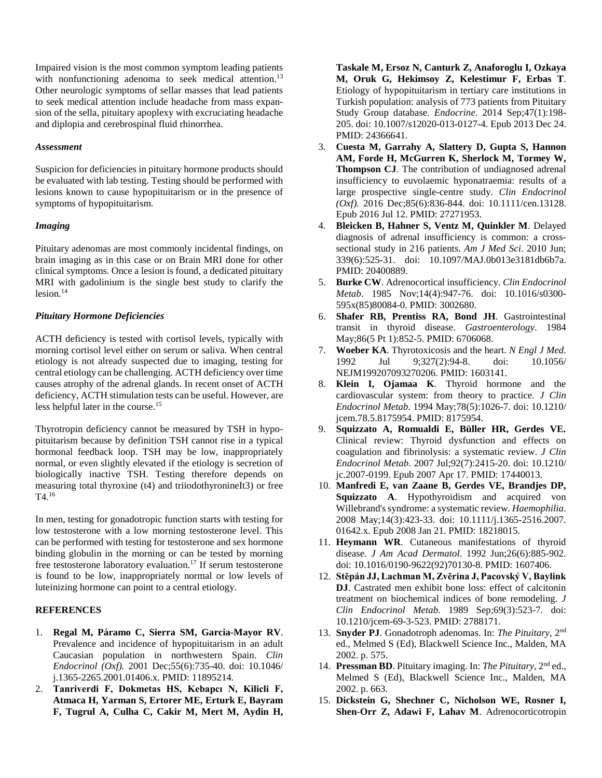Impaired vision is the most common symptom leading patients with nonfunctioning adenoma to seek medical attention.<sup>13</sup> Other neurologic symptoms of sellar masses that lead patients to seek medical attention include headache from mass expansion of the sella, pituitary apoplexy with excruciating headache and diplopia and cerebrospinal fluid rhinorrhea.

#### *Assessment*

Suspicion for deficiencies in pituitary hormone products should be evaluated with lab testing. Testing should be performed with lesions known to cause hypopituitarism or in the presence of symptoms of hypopituitarism.

### *Imaging*

Pituitary adenomas are most commonly incidental findings, on brain imaging as in this case or on Brain MRI done for other clinical symptoms. Once a lesion is found, a dedicated pituitary MRI with gadolinium is the single best study to clarify the  $lesion.<sup>14</sup>$ 

# *Pituitary Hormone Deficiencies*

ACTH deficiency is tested with cortisol levels, typically with morning cortisol level either on serum or saliva. When central etiology is not already suspected due to imaging, testing for central etiology can be challenging. ACTH deficiency over time causes atrophy of the adrenal glands. In recent onset of ACTH deficiency, ACTH stimulation tests can be useful. However, are less helpful later in the course.15

Thyrotropin deficiency cannot be measured by TSH in hypopituitarism because by definition TSH cannot rise in a typical hormonal feedback loop. TSH may be low, inappropriately normal, or even slightly elevated if the etiology is secretion of biologically inactive TSH. Testing therefore depends on measuring total thyroxine (t4) and triiodothyronineIt3) or free T4.16

In men, testing for gonadotropic function starts with testing for low testosterone with a low morning testosterone level. This can be performed with testing for testosterone and sex hormone binding globulin in the morning or can be tested by morning free testosterone laboratory evaluation.17 If serum testosterone is found to be low, inappropriately normal or low levels of luteinizing hormone can point to a central etiology.

# **REFERENCES**

- 1. **Regal M, Páramo C, Sierra SM, Garcia-Mayor RV**. Prevalence and incidence of hypopituitarism in an adult Caucasian population in northwestern Spain. *Clin Endocrinol (Oxf).* 2001 Dec;55(6):735-40. doi: 10.1046/ j.1365-2265.2001.01406.x. PMID: 11895214.
- 2. **Tanriverdi F, Dokmetas HS, Kebapcı N, Kilicli F, Atmaca H, Yarman S, Ertorer ME, Erturk E, Bayram F, Tugrul A, Culha C, Cakir M, Mert M, Aydin H,**

**Taskale M, Ersoz N, Canturk Z, Anaforoglu I, Ozkaya M, Oruk G, Hekimsoy Z, Kelestimur F, Erbas T**. Etiology of hypopituitarism in tertiary care institutions in Turkish population: analysis of 773 patients from Pituitary Study Group database. *Endocrine*. 2014 Sep;47(1):198- 205. doi: 10.1007/s12020-013-0127-4. Epub 2013 Dec 24. PMID: 24366641.

- 3. **Cuesta M, Garrahy A, Slattery D, Gupta S, Hannon AM, Forde H, McGurren K, Sherlock M, Tormey W, Thompson CJ**. The contribution of undiagnosed adrenal insufficiency to euvolaemic hyponatraemia: results of a large prospective single-centre study. *Clin Endocrinol (Oxf).* 2016 Dec;85(6):836-844. doi: 10.1111/cen.13128. Epub 2016 Jul 12. PMID: 27271953.
- 4. **Bleicken B, Hahner S, Ventz M, Quinkler M**. Delayed diagnosis of adrenal insufficiency is common: a crosssectional study in 216 patients. *Am J Med Sci*. 2010 Jun; 339(6):525-31. doi: 10.1097/MAJ.0b013e3181db6b7a. PMID: 20400889.
- 5. **Burke CW**. Adrenocortical insufficiency. *Clin Endocrinol Metab*. 1985 Nov;14(4):947-76. doi: 10.1016/s0300- 595x(85)80084-0. PMID: 3002680.
- 6. **Shafer RB, Prentiss RA, Bond JH**. Gastrointestinal transit in thyroid disease. *Gastroenterology*. 1984 May;86(5 Pt 1):852-5. PMID: 6706068.
- 7. **Woeber KA**. Thyrotoxicosis and the heart. *N Engl J Med*. 1992 Jul 9;327(2):94-8. doi: 10.1056/ NEJM199207093270206. PMID: 1603141.
- 8. **Klein I, Ojamaa K**. Thyroid hormone and the cardiovascular system: from theory to practice. *J Clin Endocrinol Metab*. 1994 May;78(5):1026-7. doi: 10.1210/ jcem.78.5.8175954. PMID: 8175954.
- 9. **Squizzato A, Romualdi E, Büller HR, Gerdes VE.** Clinical review: Thyroid dysfunction and effects on coagulation and fibrinolysis: a systematic review. *J Clin Endocrinol Metab*. 2007 Jul;92(7):2415-20. doi: 10.1210/ jc.2007-0199. Epub 2007 Apr 17. PMID: 17440013.
- 10. **Manfredi E, van Zaane B, Gerdes VE, Brandjes DP, Squizzato A**. Hypothyroidism and acquired von Willebrand's syndrome: a systematic review. *Haemophilia*. 2008 May;14(3):423-33. doi: 10.1111/j.1365-2516.2007. 01642.x. Epub 2008 Jan 21. PMID: 18218015.
- 11. **Heymann WR**. Cutaneous manifestations of thyroid disease. *J Am Acad Dermatol*. 1992 Jun;26(6):885-902. doi: 10.1016/0190-9622(92)70130-8. PMID: 1607406.
- 12. **Stĕpán JJ, Lachman M, Zvĕrina J, Pacovský V, Baylink DJ**. Castrated men exhibit bone loss: effect of calcitonin treatment on biochemical indices of bone remodeling. *J Clin Endocrinol Metab*. 1989 Sep;69(3):523-7. doi: 10.1210/jcem-69-3-523. PMID: 2788171.
- 13. **Snyder PJ**. Gonadotroph adenomas. In: *The Pituitary*, 2nd ed., Melmed S (Ed), Blackwell Science Inc., Malden, MA 2002. p. 575.
- 14. **Pressman BD**. Pituitary imaging. In: *The Pituitary*, 2nd ed., Melmed S (Ed), Blackwell Science Inc., Malden, MA 2002. p. 663.
- 15. **Dickstein G, Shechner C, Nicholson WE, Rosner I, Shen-Orr Z, Adawi F, Lahav M**. Adrenocorticotropin